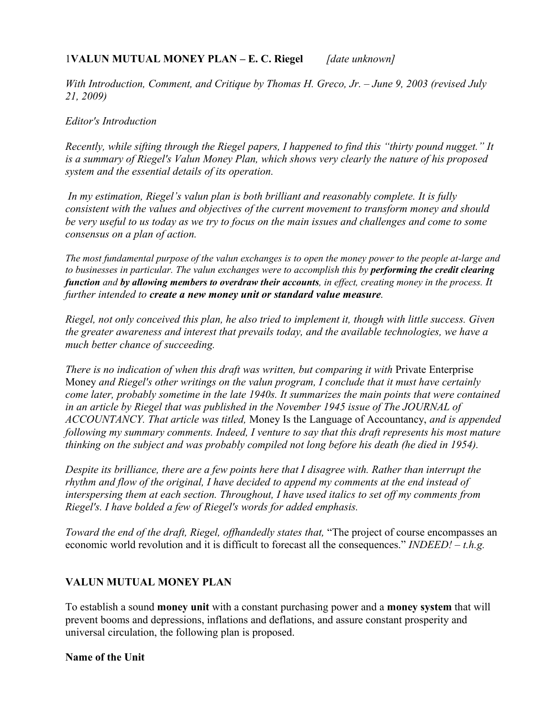## 1**VALUN MUTUAL MONEY PLAN – E. C. Riegel** *[date unknown]*

*With Introduction, Comment, and Critique by Thomas H. Greco, Jr. – June 9, 2003 (revised July 21, 2009)*

#### *Editor's Introduction*

*Recently, while sifting through the Riegel papers, I happened to find this "thirty pound nugget." It is a summary of Riegel's Valun Money Plan, which shows very clearly the nature of his proposed system and the essential details of its operation.* 

 *In my estimation, Riegel's valun plan is both brilliant and reasonably complete. It is fully consistent with the values and objectives of the current movement to transform money and should be very useful to us today as we try to focus on the main issues and challenges and come to some consensus on a plan of action.*

*The most fundamental purpose of the valun exchanges is to open the money power to the people at-large and to businesses in particular. The valun exchanges were to accomplish this by performing the credit clearing function and by allowing members to overdraw their accounts, in effect, creating money in the process. It further intended to create a new money unit or standard value measure.* 

*Riegel, not only conceived this plan, he also tried to implement it, though with little success. Given the greater awareness and interest that prevails today, and the available technologies, we have a much better chance of succeeding.*

*There is no indication of when this draft was written, but comparing it with Private Enterprise* Money *and Riegel's other writings on the valun program, I conclude that it must have certainly come later, probably sometime in the late 1940s. It summarizes the main points that were contained in an article by Riegel that was published in the November 1945 issue of The JOURNAL of ACCOUNTANCY. That article was titled,* Money Is the Language of Accountancy, *and is appended following my summary comments. Indeed, I venture to say that this draft represents his most mature thinking on the subject and was probably compiled not long before his death (he died in 1954).*

*Despite its brilliance, there are a few points here that I disagree with. Rather than interrupt the rhythm and flow of the original, I have decided to append my comments at the end instead of interspersing them at each section. Throughout, I have used italics to set off my comments from Riegel's. I have bolded a few of Riegel's words for added emphasis.*

*Toward the end of the draft, Riegel, offhandedly states that,* "The project of course encompasses an economic world revolution and it is difficult to forecast all the consequences." *INDEED! – t.h.g.*

## **VALUN MUTUAL MONEY PLAN**

To establish a sound **money unit** with a constant purchasing power and a **money system** that will prevent booms and depressions, inflations and deflations, and assure constant prosperity and universal circulation, the following plan is proposed.

#### **Name of the Unit**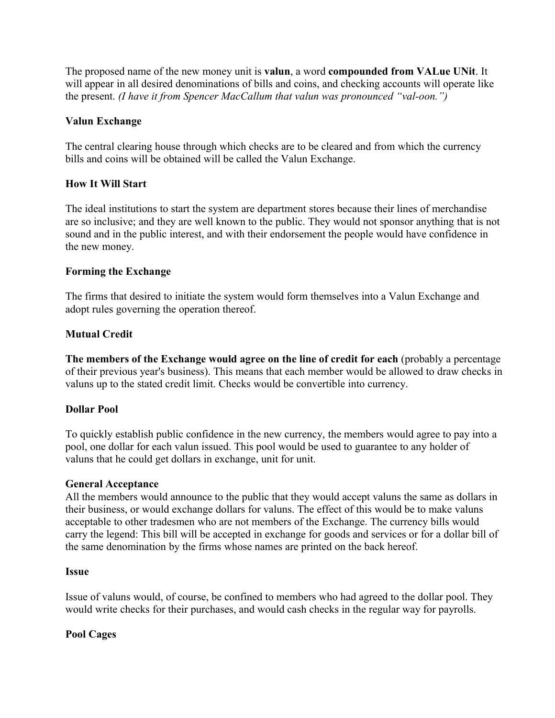The proposed name of the new money unit is **valun**, a word **compounded from VALue UNit**. It will appear in all desired denominations of bills and coins, and checking accounts will operate like the present. *(I have it from Spencer MacCallum that valun was pronounced "val-oon.")*

## **Valun Exchange**

The central clearing house through which checks are to be cleared and from which the currency bills and coins will be obtained will be called the Valun Exchange.

## **How It Will Start**

The ideal institutions to start the system are department stores because their lines of merchandise are so inclusive; and they are well known to the public. They would not sponsor anything that is not sound and in the public interest, and with their endorsement the people would have confidence in the new money.

## **Forming the Exchange**

The firms that desired to initiate the system would form themselves into a Valun Exchange and adopt rules governing the operation thereof.

## **Mutual Credit**

**The members of the Exchange would agree on the line of credit for each** (probably a percentage of their previous year's business). This means that each member would be allowed to draw checks in valuns up to the stated credit limit. Checks would be convertible into currency.

#### **Dollar Pool**

To quickly establish public confidence in the new currency, the members would agree to pay into a pool, one dollar for each valun issued. This pool would be used to guarantee to any holder of valuns that he could get dollars in exchange, unit for unit.

#### **General Acceptance**

All the members would announce to the public that they would accept valuns the same as dollars in their business, or would exchange dollars for valuns. The effect of this would be to make valuns acceptable to other tradesmen who are not members of the Exchange. The currency bills would carry the legend: This bill will be accepted in exchange for goods and services or for a dollar bill of the same denomination by the firms whose names are printed on the back hereof.

#### **Issue**

Issue of valuns would, of course, be confined to members who had agreed to the dollar pool. They would write checks for their purchases, and would cash checks in the regular way for payrolls.

#### **Pool Cages**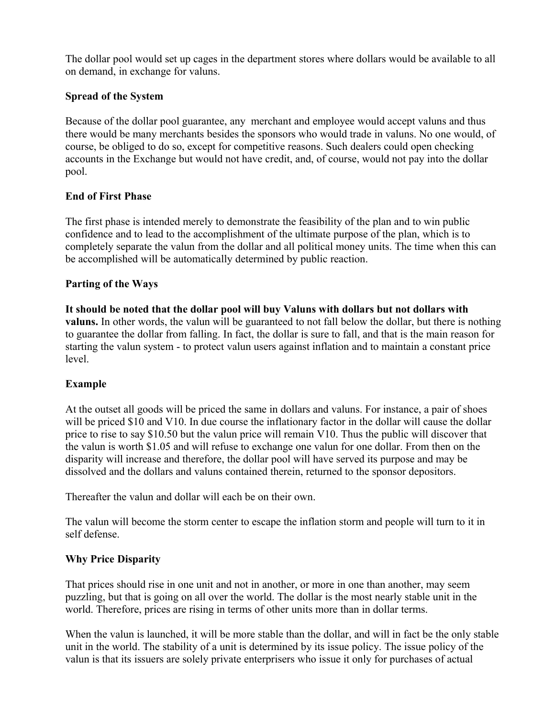The dollar pool would set up cages in the department stores where dollars would be available to all on demand, in exchange for valuns.

## **Spread of the System**

Because of the dollar pool guarantee, any merchant and employee would accept valuns and thus there would be many merchants besides the sponsors who would trade in valuns. No one would, of course, be obliged to do so, except for competitive reasons. Such dealers could open checking accounts in the Exchange but would not have credit, and, of course, would not pay into the dollar pool.

## **End of First Phase**

The first phase is intended merely to demonstrate the feasibility of the plan and to win public confidence and to lead to the accomplishment of the ultimate purpose of the plan, which is to completely separate the valun from the dollar and all political money units. The time when this can be accomplished will be automatically determined by public reaction.

## **Parting of the Ways**

**It should be noted that the dollar pool will buy Valuns with dollars but not dollars with valuns.** In other words, the valun will be guaranteed to not fall below the dollar, but there is nothing to guarantee the dollar from falling. In fact, the dollar is sure to fall, and that is the main reason for starting the valun system - to protect valun users against inflation and to maintain a constant price level.

## **Example**

At the outset all goods will be priced the same in dollars and valuns. For instance, a pair of shoes will be priced \$10 and V10. In due course the inflationary factor in the dollar will cause the dollar price to rise to say \$10.50 but the valun price will remain V10. Thus the public will discover that the valun is worth \$1.05 and will refuse to exchange one valun for one dollar. From then on the disparity will increase and therefore, the dollar pool will have served its purpose and may be dissolved and the dollars and valuns contained therein, returned to the sponsor depositors.

Thereafter the valun and dollar will each be on their own.

The valun will become the storm center to escape the inflation storm and people will turn to it in self defense.

#### **Why Price Disparity**

That prices should rise in one unit and not in another, or more in one than another, may seem puzzling, but that is going on all over the world. The dollar is the most nearly stable unit in the world. Therefore, prices are rising in terms of other units more than in dollar terms.

When the valun is launched, it will be more stable than the dollar, and will in fact be the only stable unit in the world. The stability of a unit is determined by its issue policy. The issue policy of the valun is that its issuers are solely private enterprisers who issue it only for purchases of actual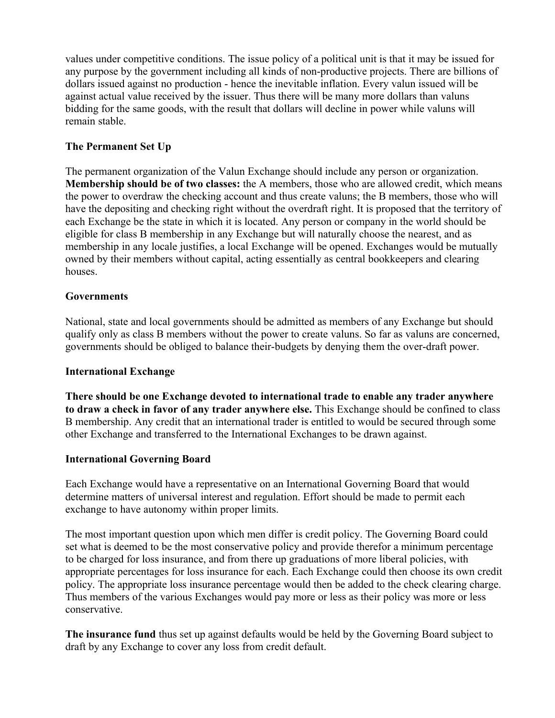values under competitive conditions. The issue policy of a political unit is that it may be issued for any purpose by the government including all kinds of non-productive projects. There are billions of dollars issued against no production - hence the inevitable inflation. Every valun issued will be against actual value received by the issuer. Thus there will be many more dollars than valuns bidding for the same goods, with the result that dollars will decline in power while valuns will remain stable.

## **The Permanent Set Up**

The permanent organization of the Valun Exchange should include any person or organization. **Membership should be of two classes:** the A members, those who are allowed credit, which means the power to overdraw the checking account and thus create valuns; the B members, those who will have the depositing and checking right without the overdraft right. It is proposed that the territory of each Exchange be the state in which it is located. Any person or company in the world should be eligible for class B membership in any Exchange but will naturally choose the nearest, and as membership in any locale justifies, a local Exchange will be opened. Exchanges would be mutually owned by their members without capital, acting essentially as central bookkeepers and clearing houses.

## **Governments**

National, state and local governments should be admitted as members of any Exchange but should qualify only as class B members without the power to create valuns. So far as valuns are concerned, governments should be obliged to balance their-budgets by denying them the over-draft power.

#### **International Exchange**

**There should be one Exchange devoted to international trade to enable any trader anywhere to draw a check in favor of any trader anywhere else.** This Exchange should be confined to class B membership. Any credit that an international trader is entitled to would be secured through some other Exchange and transferred to the International Exchanges to be drawn against.

## **International Governing Board**

Each Exchange would have a representative on an International Governing Board that would determine matters of universal interest and regulation. Effort should be made to permit each exchange to have autonomy within proper limits.

The most important question upon which men differ is credit policy. The Governing Board could set what is deemed to be the most conservative policy and provide therefor a minimum percentage to be charged for loss insurance, and from there up graduations of more liberal policies, with appropriate percentages for loss insurance for each. Each Exchange could then choose its own credit policy. The appropriate loss insurance percentage would then be added to the check clearing charge. Thus members of the various Exchanges would pay more or less as their policy was more or less conservative.

**The insurance fund** thus set up against defaults would be held by the Governing Board subject to draft by any Exchange to cover any loss from credit default.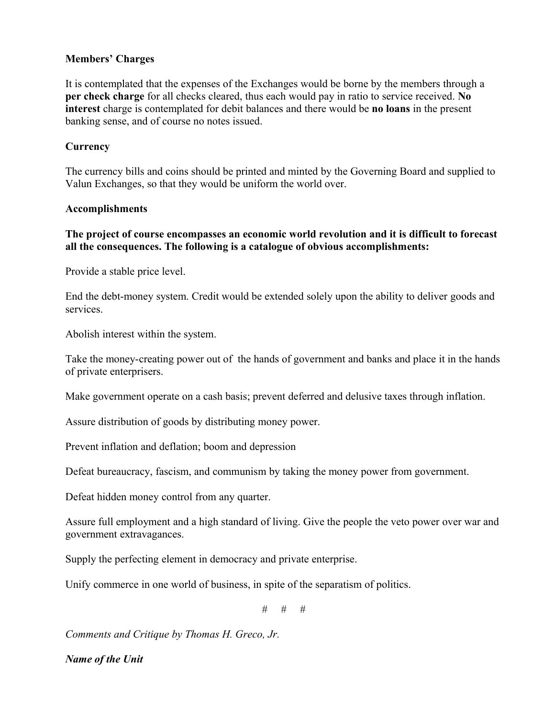## **Members' Charges**

It is contemplated that the expenses of the Exchanges would be borne by the members through a **per check charge** for all checks cleared, thus each would pay in ratio to service received. **No interest** charge is contemplated for debit balances and there would be **no loans** in the present banking sense, and of course no notes issued.

### **Currency**

The currency bills and coins should be printed and minted by the Governing Board and supplied to Valun Exchanges, so that they would be uniform the world over.

#### **Accomplishments**

## **The project of course encompasses an economic world revolution and it is difficult to forecast all the consequences. The following is a catalogue of obvious accomplishments:**

Provide a stable price level.

End the debt-money system. Credit would be extended solely upon the ability to deliver goods and services.

Abolish interest within the system.

Take the money-creating power out of the hands of government and banks and place it in the hands of private enterprisers.

Make government operate on a cash basis; prevent deferred and delusive taxes through inflation.

Assure distribution of goods by distributing money power.

Prevent inflation and deflation; boom and depression

Defeat bureaucracy, fascism, and communism by taking the money power from government.

Defeat hidden money control from any quarter.

Assure full employment and a high standard of living. Give the people the veto power over war and government extravagances.

Supply the perfecting element in democracy and private enterprise.

Unify commerce in one world of business, in spite of the separatism of politics.

 $#$   $#$   $#$ 

*Comments and Critique by Thomas H. Greco, Jr.*

*Name of the Unit*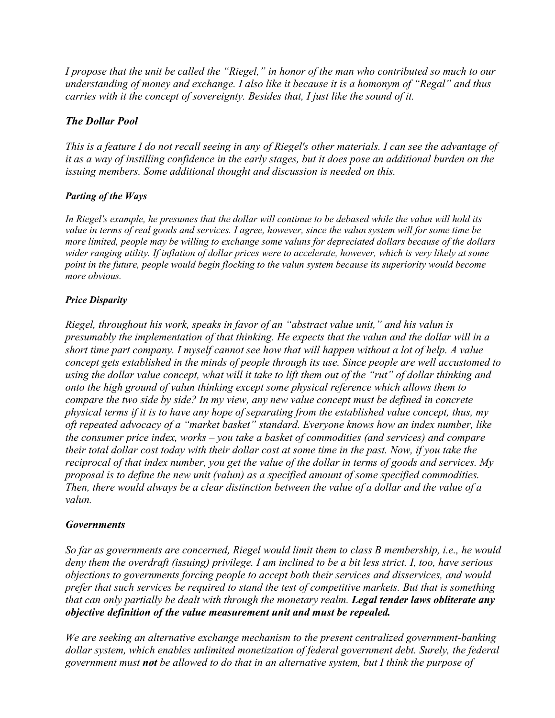*I propose that the unit be called the "Riegel," in honor of the man who contributed so much to our understanding of money and exchange. I also like it because it is a homonym of "Regal" and thus carries with it the concept of sovereignty. Besides that, I just like the sound of it.* 

## *The Dollar Pool*

*This is a feature I do not recall seeing in any of Riegel's other materials. I can see the advantage of it as a way of instilling confidence in the early stages, but it does pose an additional burden on the issuing members. Some additional thought and discussion is needed on this.*

## *Parting of the Ways*

*In Riegel's example, he presumes that the dollar will continue to be debased while the valun will hold its value in terms of real goods and services. I agree, however, since the valun system will for some time be more limited, people may be willing to exchange some valuns for depreciated dollars because of the dollars wider ranging utility. If inflation of dollar prices were to accelerate, however, which is very likely at some point in the future, people would begin flocking to the valun system because its superiority would become more obvious.*

## *Price Disparity*

*Riegel, throughout his work, speaks in favor of an "abstract value unit," and his valun is presumably the implementation of that thinking. He expects that the valun and the dollar will in a short time part company. I myself cannot see how that will happen without a lot of help. A value concept gets established in the minds of people through its use. Since people are well accustomed to using the dollar value concept, what will it take to lift them out of the "rut" of dollar thinking and onto the high ground of valun thinking except some physical reference which allows them to compare the two side by side? In my view, any new value concept must be defined in concrete physical terms if it is to have any hope of separating from the established value concept, thus, my oft repeated advocacy of a "market basket" standard. Everyone knows how an index number, like the consumer price index, works – you take a basket of commodities (and services) and compare their total dollar cost today with their dollar cost at some time in the past. Now, if you take the reciprocal of that index number, you get the value of the dollar in terms of goods and services. My proposal is to define the new unit (valun) as a specified amount of some specified commodities. Then, there would always be a clear distinction between the value of a dollar and the value of a valun.*

#### *Governments*

*So far as governments are concerned, Riegel would limit them to class B membership, i.e., he would deny them the overdraft (issuing) privilege. I am inclined to be a bit less strict. I, too, have serious objections to governments forcing people to accept both their services and disservices, and would prefer that such services be required to stand the test of competitive markets. But that is something that can only partially be dealt with through the monetary realm. Legal tender laws obliterate any objective definition of the value measurement unit and must be repealed.*

*We are seeking an alternative exchange mechanism to the present centralized government-banking dollar system, which enables unlimited monetization of federal government debt. Surely, the federal government must not be allowed to do that in an alternative system, but I think the purpose of*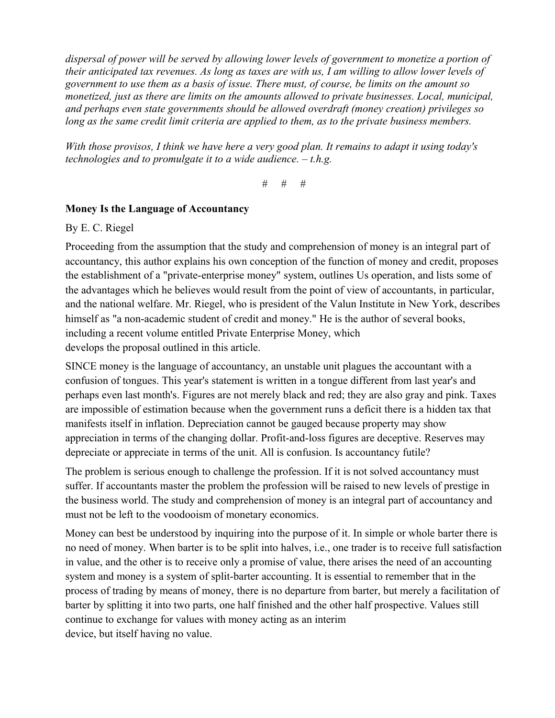*dispersal of power will be served by allowing lower levels of government to monetize a portion of their anticipated tax revenues. As long as taxes are with us, I am willing to allow lower levels of government to use them as a basis of issue. There must, of course, be limits on the amount so monetized, just as there are limits on the amounts allowed to private businesses. Local, municipal, and perhaps even state governments should be allowed overdraft (money creation) privileges so long as the same credit limit criteria are applied to them, as to the private business members.*

*With those provisos, I think we have here a very good plan. It remains to adapt it using today's technologies and to promulgate it to a wide audience. – t.h.g.* 

*# # #*

# **Money Is the Language of Accountancy**

By E. C. Riegel

Proceeding from the assumption that the study and comprehension of money is an integral part of accountancy, this author explains his own conception of the function of money and credit, proposes the establishment of a "private-enterprise money" system, outlines Us operation, and lists some of the advantages which he believes would result from the point of view of accountants, in particular, and the national welfare. Mr. Riegel, who is president of the Valun Institute in New York, describes himself as "a non-academic student of credit and money." He is the author of several books, including a recent volume entitled Private Enterprise Money, which develops the proposal outlined in this article.

SINCE money is the language of accountancy, an unstable unit plagues the accountant with a confusion of tongues. This year's statement is written in a tongue different from last year's and perhaps even last month's. Figures are not merely black and red; they are also gray and pink. Taxes are impossible of estimation because when the government runs a deficit there is a hidden tax that manifests itself in inflation. Depreciation cannot be gauged because property may show appreciation in terms of the changing dollar. Profit-and-loss figures are deceptive. Reserves may depreciate or appreciate in terms of the unit. All is confusion. Is accountancy futile?

The problem is serious enough to challenge the profession. If it is not solved accountancy must suffer. If accountants master the problem the profession will be raised to new levels of prestige in the business world. The study and comprehension of money is an integral part of accountancy and must not be left to the voodooism of monetary economics.

Money can best be understood by inquiring into the purpose of it. In simple or whole barter there is no need of money. When barter is to be split into halves, i.e., one trader is to receive full satisfaction in value, and the other is to receive only a promise of value, there arises the need of an accounting system and money is a system of split-barter accounting. It is essential to remember that in the process of trading by means of money, there is no departure from barter, but merely a facilitation of barter by splitting it into two parts, one half finished and the other half prospective. Values still continue to exchange for values with money acting as an interim device, but itself having no value.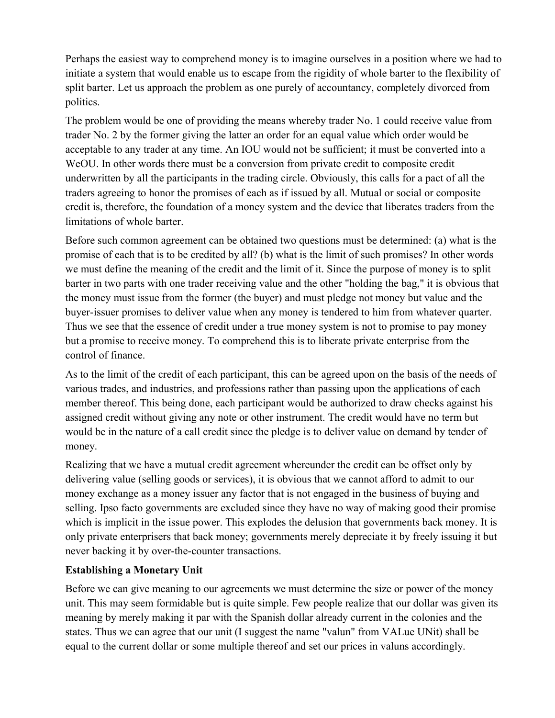Perhaps the easiest way to comprehend money is to imagine ourselves in a position where we had to initiate a system that would enable us to escape from the rigidity of whole barter to the flexibility of split barter. Let us approach the problem as one purely of accountancy, completely divorced from politics.

The problem would be one of providing the means whereby trader No. 1 could receive value from trader No. 2 by the former giving the latter an order for an equal value which order would be acceptable to any trader at any time. An IOU would not be sufficient; it must be converted into a WeOU. In other words there must be a conversion from private credit to composite credit underwritten by all the participants in the trading circle. Obviously, this calls for a pact of all the traders agreeing to honor the promises of each as if issued by all. Mutual or social or composite credit is, therefore, the foundation of a money system and the device that liberates traders from the limitations of whole barter.

Before such common agreement can be obtained two questions must be determined: (a) what is the promise of each that is to be credited by all? (b) what is the limit of such promises? In other words we must define the meaning of the credit and the limit of it. Since the purpose of money is to split barter in two parts with one trader receiving value and the other "holding the bag," it is obvious that the money must issue from the former (the buyer) and must pledge not money but value and the buyer-issuer promises to deliver value when any money is tendered to him from whatever quarter. Thus we see that the essence of credit under a true money system is not to promise to pay money but a promise to receive money. To comprehend this is to liberate private enterprise from the control of finance.

As to the limit of the credit of each participant, this can be agreed upon on the basis of the needs of various trades, and industries, and professions rather than passing upon the applications of each member thereof. This being done, each participant would be authorized to draw checks against his assigned credit without giving any note or other instrument. The credit would have no term but would be in the nature of a call credit since the pledge is to deliver value on demand by tender of money.

Realizing that we have a mutual credit agreement whereunder the credit can be offset only by delivering value (selling goods or services), it is obvious that we cannot afford to admit to our money exchange as a money issuer any factor that is not engaged in the business of buying and selling. Ipso facto governments are excluded since they have no way of making good their promise which is implicit in the issue power. This explodes the delusion that governments back money. It is only private enterprisers that back money; governments merely depreciate it by freely issuing it but never backing it by over-the-counter transactions.

## **Establishing a Monetary Unit**

Before we can give meaning to our agreements we must determine the size or power of the money unit. This may seem formidable but is quite simple. Few people realize that our dollar was given its meaning by merely making it par with the Spanish dollar already current in the colonies and the states. Thus we can agree that our unit (I suggest the name "valun" from VALue UNit) shall be equal to the current dollar or some multiple thereof and set our prices in valuns accordingly.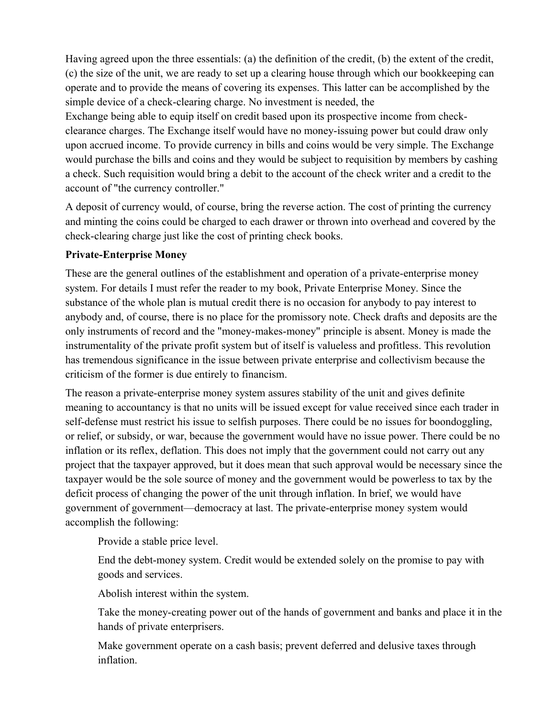Having agreed upon the three essentials: (a) the definition of the credit, (b) the extent of the credit, (c) the size of the unit, we are ready to set up a clearing house through which our bookkeeping can operate and to provide the means of covering its expenses. This latter can be accomplished by the simple device of a check-clearing charge. No investment is needed, the

Exchange being able to equip itself on credit based upon its prospective income from checkclearance charges. The Exchange itself would have no money-issuing power but could draw only upon accrued income. To provide currency in bills and coins would be very simple. The Exchange would purchase the bills and coins and they would be subject to requisition by members by cashing a check. Such requisition would bring a debit to the account of the check writer and a credit to the account of "the currency controller."

A deposit of currency would, of course, bring the reverse action. The cost of printing the currency and minting the coins could be charged to each drawer or thrown into overhead and covered by the check-clearing charge just like the cost of printing check books.

## **Private-Enterprise Money**

These are the general outlines of the establishment and operation of a private-enterprise money system. For details I must refer the reader to my book, Private Enterprise Money. Since the substance of the whole plan is mutual credit there is no occasion for anybody to pay interest to anybody and, of course, there is no place for the promissory note. Check drafts and deposits are the only instruments of record and the "money-makes-money" principle is absent. Money is made the instrumentality of the private profit system but of itself is valueless and profitless. This revolution has tremendous significance in the issue between private enterprise and collectivism because the criticism of the former is due entirely to financism.

The reason a private-enterprise money system assures stability of the unit and gives definite meaning to accountancy is that no units will be issued except for value received since each trader in self-defense must restrict his issue to selfish purposes. There could be no issues for boondoggling, or relief, or subsidy, or war, because the government would have no issue power. There could be no inflation or its reflex, deflation. This does not imply that the government could not carry out any project that the taxpayer approved, but it does mean that such approval would be necessary since the taxpayer would be the sole source of money and the government would be powerless to tax by the deficit process of changing the power of the unit through inflation. In brief, we would have government of government—democracy at last. The private-enterprise money system would accomplish the following:

Provide a stable price level.

End the debt-money system. Credit would be extended solely on the promise to pay with goods and services.

Abolish interest within the system.

Take the money-creating power out of the hands of government and banks and place it in the hands of private enterprisers.

Make government operate on a cash basis; prevent deferred and delusive taxes through inflation.